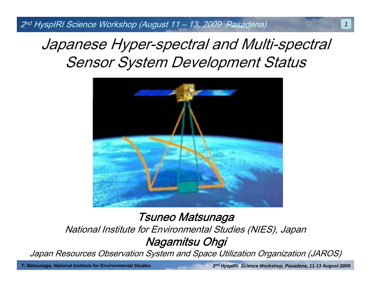2nd HyspIRI Science Workshop (August 11 – 13, 2009 Pasadena)

# Japanese Hyper-spectral and Multi-spectral Sensor System Development Status



Tsuneo Matsunaga National Institute for Environmental Studies (NIES), Japan Nagamitsu Ohgi

Japan Resources Observation System and Space Utilization Organization (JAROS)

*T. Matsunaga, National Institute for Environmental Studies*

*2n<sup>d</sup> HyspIRI Science Workshop, Pasadena, 11-13 August 2009*

*1*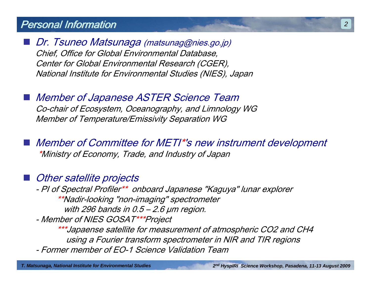### Personal Information

 Dr. Tsuneo Matsunaga (matsunag@nies.go.jp) Chief, Office for Global Environmental Database, Center for Global Environmental Research (CGER), National Institute for Environmental Studies (NIES), Japan

 Member of Japanese ASTER Science Team Co-chair of Ecosystem, Oceanography, and Limnology WG Member of Temperature/Emissivity Separation WG

 Member of Committee for METI\*'s new instrument development \*Ministry of Economy, Trade, and Industry of Japan

Other satellite projects

> - PI of Spectral Profiler\*\* onboard Japanese "Kaguya" lunar explorer \*\*Nadir-looking "non-imaging" spectrometer with 296 bands in  $0.5 - 2.6$   $\mu$ m region.

- Member of NIES GOSAT\*\*\*Project

\*\*\*Japaense satellite for measurement of atmospheric CO2 and CH4 using a Fourier transform spectrometer in NIR and TIR regions - Former member of EO-1 Science Validation Team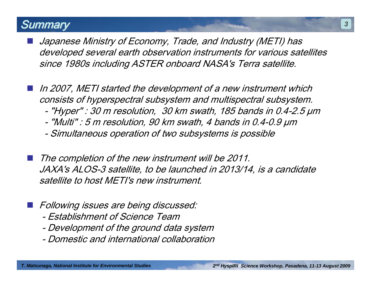## **Summary**

- Japanese Ministry of Economy, Trade, and Industry (METI) has developed several earth observation instruments for various satellites since 1980s including ASTER onboard NASA's Terra satellite.
- In 2007, METI started the development of a new instrument which consists of hyperspectral subsystem and multispectral subsystem. - "Hyper" : 30 m resolution, 30 km swath, 185 bands in 0.4-2.5 µm
	- -"Multi" : 5 m resolution, 90 km swath, 4 bands in 0.4-0.9 µm
	- -Simultaneous operation of two subsystems is possible
- The completion of the new instrument will be 2011. JAXA's ALOS-3 satellite, to be launched in 2013/14, is a candidate satellite to host METI's new instrument.
- **Following issues are being discussed:** 
	- Establishment of Science Team
	- -Development of the ground data system
	- Domestic and international collaboration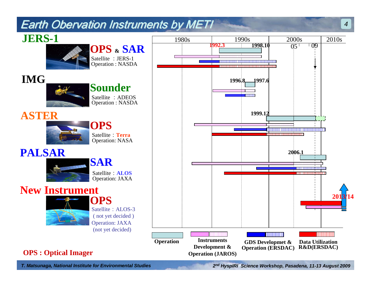## **Earth Obervation Instruments by METI**



*T. Matsunaga, National Institute for Environmental Studies*

*2n<sup>d</sup> HyspIRI Science Workshop, Pasadena, 11-13 August 2009*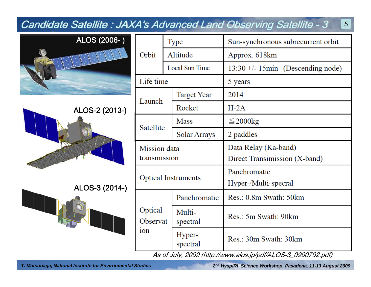| <b>Candidate Satellite: JAXA's Advanced Land Observing Satellite - 3</b><br>$5\overline{5}$ |                                        |                    |                                      |  |  |
|---------------------------------------------------------------------------------------------|----------------------------------------|--------------------|--------------------------------------|--|--|
| ALOS (2006-)                                                                                |                                        | Type               | Sun-synchronous subrecurrent orbit   |  |  |
|                                                                                             | Orbit                                  | Altitude           | Approx. 618km                        |  |  |
|                                                                                             |                                        | Local Sun Time     | $13:30 +/- 15$ min (Descending node) |  |  |
|                                                                                             | Life time                              |                    | 5 years                              |  |  |
| ALOS-2 (2013-)                                                                              | Launch                                 | <b>Target Year</b> | 2014                                 |  |  |
|                                                                                             |                                        | Rocket             | $H-2A$                               |  |  |
|                                                                                             | Satellite                              | <b>Mass</b>        | $\leq$ 2000 $kg$                     |  |  |
|                                                                                             |                                        | Solar Arrays       | 2 paddles                            |  |  |
|                                                                                             | Mission data<br>transmission           |                    | Data Relay (Ka-band)                 |  |  |
|                                                                                             |                                        |                    | Direct Transimission (X-band)        |  |  |
|                                                                                             | <b>Optical Instruments</b>             |                    | Panchromatic                         |  |  |
| ALOS-3 (2014-)                                                                              |                                        |                    | Hyper-/Multi-specral                 |  |  |
|                                                                                             | Optical<br>Observat<br>10 <sub>n</sub> | Panchromatic       | Res.: 0.8m Swath: 50km               |  |  |
|                                                                                             |                                        | Multi-<br>spectral | Res.: 5m Swath: 90km                 |  |  |
|                                                                                             |                                        | Hyper-<br>spectral | Res.: 30m Swath: 30km                |  |  |

As of July, 2009 (http://www.alos.jp/pdf/ALOS-3\_0900702.pdf)

*2n<sup>d</sup> HyspIRI Science Workshop, Pasadena, 11-13 August 2009*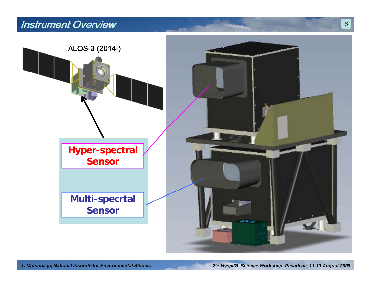## Instrument Overview



*6*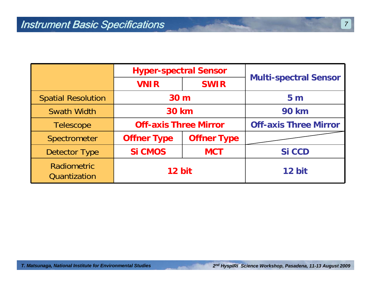|                             | <b>Hyper-spectral Sensor</b> |                    |                              |
|-----------------------------|------------------------------|--------------------|------------------------------|
|                             | <b>VNIR</b>                  | <b>SWIR</b>        | <b>Multi-spectral Sensor</b> |
| <b>Spatial Resolution</b>   | 30 <sub>m</sub>              |                    | 5 <sub>m</sub>               |
| <b>Swath Width</b>          | <b>30 km</b>                 |                    | <b>90 km</b>                 |
| <b>Telescope</b>            | <b>Off-axis Three Mirror</b> |                    | <b>Off-axis Three Mirror</b> |
| Spectrometer                | <b>Offner Type</b>           | <b>Offner Type</b> |                              |
| <b>Detector Type</b>        | <b>Si CMOS</b>               | <b>MCT</b>         | <b>Si CCD</b>                |
| Radiometric<br>Quantization | 12 bit                       |                    | 12 bit                       |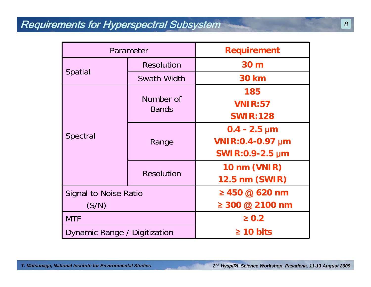## Requirements for Hyperspectral Subsystem

| Parameter                    |                           | <b>Requirement</b>           |
|------------------------------|---------------------------|------------------------------|
| <b>Spatial</b>               | <b>Resolution</b>         | 30 m                         |
|                              | Swath Width               | <b>30 km</b>                 |
| Spectral                     | Number of<br><b>Bands</b> | 185                          |
|                              |                           | <b>VNIR:57</b>               |
|                              |                           | <b>SWIR:128</b>              |
|                              | Range                     | $0.4 - 2.5 \,\mathrm{\mu m}$ |
|                              |                           | <b>VNIR:0.4-0.97 µm</b>      |
|                              |                           | SWIR:0.9-2.5 µm              |
|                              | <b>Resolution</b>         | 10 nm (VNIR)                 |
|                              |                           | <b>12.5 nm (SWIR)</b>        |
| <b>Signal to Noise Ratio</b> |                           | ≥ 450 @ 620 nm               |
| (S/N)                        |                           | ≥ 300 @ 2100 nm              |
| <b>MTF</b>                   |                           | $\geq 0.2$                   |
| Dynamic Range / Digitization |                           | $\geq 10$ bits               |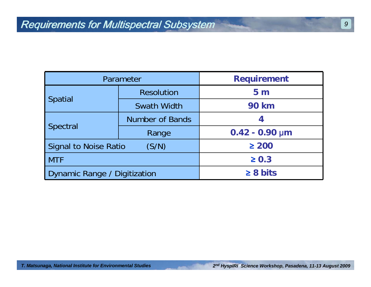| Parameter                             |                        | <b>Requirement</b>               |
|---------------------------------------|------------------------|----------------------------------|
| <b>Spatial</b>                        | <b>Resolution</b>      | 5 <sub>m</sub>                   |
|                                       | Swath Width            | <b>90 km</b>                     |
| <b>Spectral</b>                       | <b>Number of Bands</b> | 4                                |
|                                       | Range                  | $0.42 - 0.90 \,\text{\textmu m}$ |
| (S/N)<br><b>Signal to Noise Ratio</b> |                        | $\geq 200$                       |
| <b>MTF</b>                            |                        | $\geq 0.3$                       |
| Dynamic Range / Digitization          |                        | $\geq 8$ bits                    |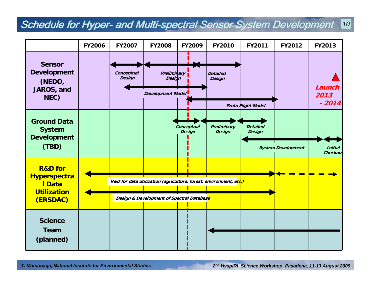#### *10* Schedule for Hyper- and Multi-spectral Sensor System Development